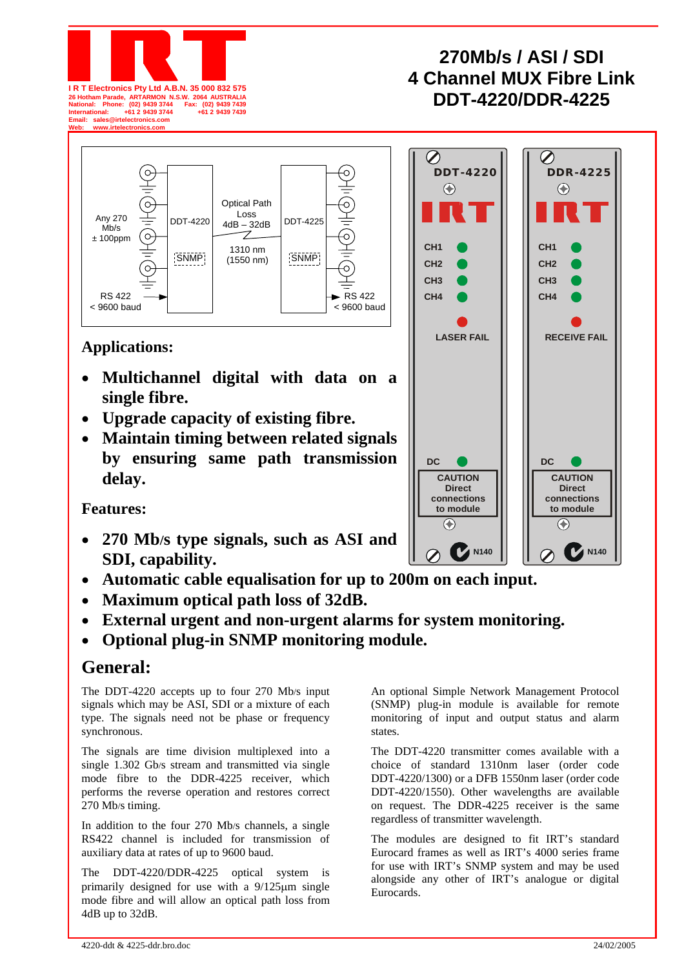



# **Applications:**

- **Multichannel digital with data on a single fibre.**
- **Upgrade capacity of existing fibre.**
- **Maintain timing between related signals by ensuring same path transmission delay.**

**Features:** 

- **270 Mb/s type signals, such as ASI and SDI, capability.**
- **Automatic cable equalisation for up to 200m on each input.**
- **Maximum optical path loss of 32dB.**
- **External urgent and non-urgent alarms for system monitoring.**
- **Optional plug-in SNMP monitoring module.**

# **General:**

The DDT-4220 accepts up to four 270 Mb/s input signals which may be ASI, SDI or a mixture of each type. The signals need not be phase or frequency synchronous.

The signals are time division multiplexed into a single 1.302 Gb/s stream and transmitted via single mode fibre to the DDR-4225 receiver, which performs the reverse operation and restores correct 270 Mb/s timing.

In addition to the four 270 Mb/s channels, a single RS422 channel is included for transmission of auxiliary data at rates of up to 9600 baud.

The DDT-4220/DDR-4225 optical system is primarily designed for use with a 9/125µm single mode fibre and will allow an optical path loss from 4dB up to 32dB.

An optional Simple Network Management Protocol (SNMP) plug-in module is available for remote monitoring of input and output status and alarm states.

The DDT-4220 transmitter comes available with a choice of standard 1310nm laser (order code DDT-4220/1300) or a DFB 1550nm laser (order code DDT-4220/1550). Other wavelengths are available on request. The DDR-4225 receiver is the same regardless of transmitter wavelength.

The modules are designed to fit IRT's standard Eurocard frames as well as IRT's 4000 series frame for use with IRT's SNMP system and may be used alongside any other of IRT's analogue or digital Eurocards.

# **270Mb/s / ASI / SDI 4 Channel MUX Fibre Link DDT-4220/DDR-4225 26 Hotham Parade, ARTARMON N.S.W. 2064 AUSTRALIA National: Phone: (02) 9439 3744 Fax: (02) 9439 7439**